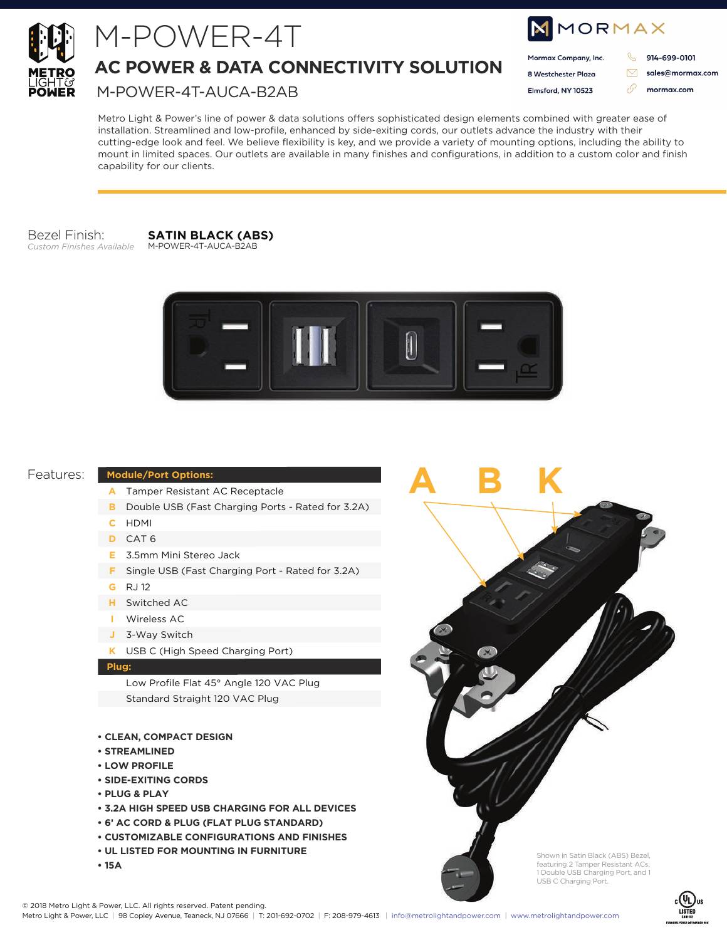

# M-POWER-4T

### **AC POWER & DATA CONNECTIVITY SOLUTION**

M-POWER-4T-AUCA-B2AB

| <b>NMORMAX</b> |                      |  |                  |
|----------------|----------------------|--|------------------|
|                | Mormax Company, Inc. |  | 914-699-0101     |
|                | 8 Westchester Plaza  |  | sales@mormax.com |
|                | Elmsford, NY 10523   |  | mormax.com       |
|                |                      |  |                  |

Metro Light & Power's line of power & data solutions offers sophisticated design elements combined with greater ease of installation. Streamlined and low-profile, enhanced by side-exiting cords, our outlets advance the industry with their cutting-edge look and feel. We believe flexibility is key, and we provide a variety of mounting options, including the ability to mount in limited spaces. Our outlets are available in many finishes and configurations, in addition to a custom color and finish capability for our clients.

Bezel Finish: *Custom Finishes Available*

**SATIN BLACK (ABS)** M-POWER-4T-AUCA-B2AB



**ABK**

#### Features:

#### **Module/Port Options:**

- Tamper Resistant AC Receptacle **A**
- **B** Double USB (Fast Charging Ports Rated for 3.2A)
- HDMI **C**
- CAT 6 **D**
- 3.5mm Mini Stereo Jack **E**
- **F** Single USB (Fast Charging Port Rated for 3.2A)
- RJ 12 **G**
- Switched AC **H**
- Wireless AC **I**
- 3-Way Switch **J**
- USB C (High Speed Charging Port) **K**

#### **Plug:**

Low Profile Flat 45° Angle 120 VAC Plug Standard Straight 120 VAC Plug

- **CLEAN, COMPACT DESIGN**
- **STREAMLINED**
- **LOW PROFILE**
- **SIDE-EXITING CORDS**
- **PLUG & PLAY**
- **3.2A HIGH SPEED USB CHARGING FOR ALL DEVICES**
- **6' AC CORD & PLUG (FLAT PLUG STANDARD)**
- **CUSTOMIZABLE CONFIGURATIONS AND FINISHES**
- **UL LISTED FOR MOUNTING IN FURNITURE**
- **15A**



Shown in Satin Black (ABS) Bezel, featuring 2 Tamper Resistant ACs, 1 Double USB Charging Port, and 1

USB C Charging Port.